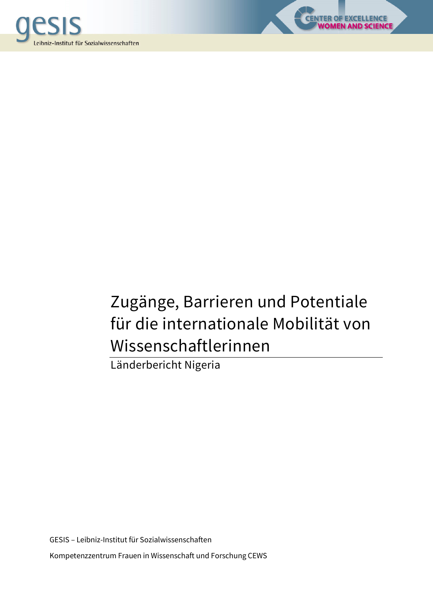



**OF EXCELLENCE<br>MEN AND SCIENCE** 

Länderbericht Nigeria

GESIS – Leibniz-Institut für Sozialwissenschaften Kompetenzzentrum Frauen in Wissenschaft und Forschung CEWS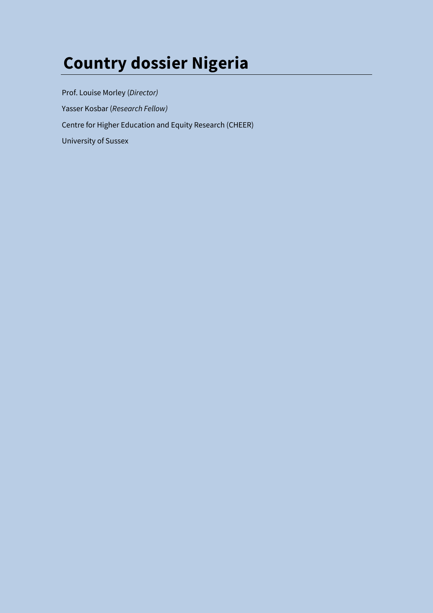# **Country dossier Nigeria**

Prof. Louise Morley (*Director)*  Yasser Kosbar (*Research Fellow)*  Centre for Higher Education and Equity Research (CHEER) University of Sussex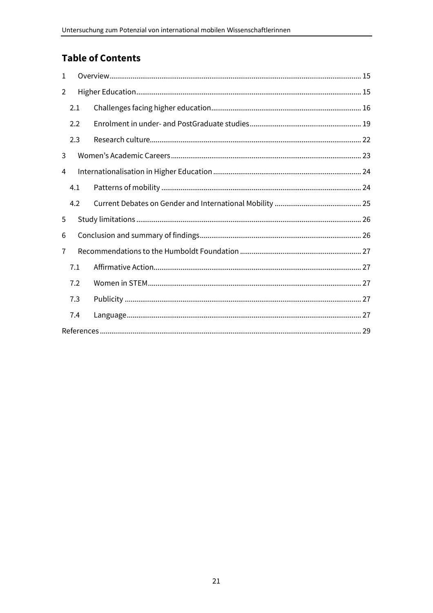# **Table of Contents**

| $\mathbf{1}$ |     |  |  |  |  |
|--------------|-----|--|--|--|--|
| 2            |     |  |  |  |  |
|              | 2.1 |  |  |  |  |
|              | 2.2 |  |  |  |  |
|              | 2.3 |  |  |  |  |
| 3            |     |  |  |  |  |
| 4            |     |  |  |  |  |
|              | 4.1 |  |  |  |  |
|              | 4.2 |  |  |  |  |
| 5            |     |  |  |  |  |
| 6            |     |  |  |  |  |
| 7            |     |  |  |  |  |
|              | 7.1 |  |  |  |  |
|              | 7.2 |  |  |  |  |
|              | 7.3 |  |  |  |  |
|              | 7.4 |  |  |  |  |
|              |     |  |  |  |  |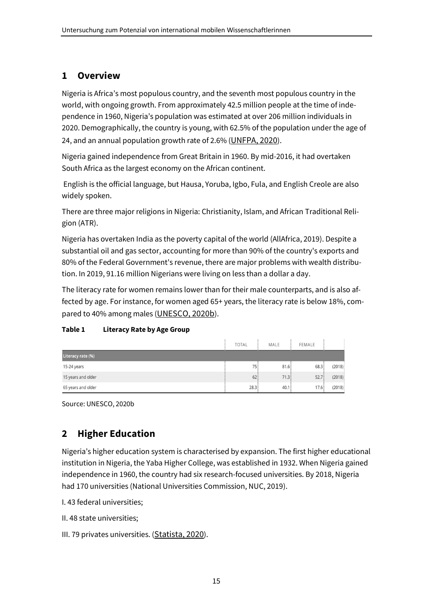#### **1 Overview**

Nigeria is Africa's most populous country, and the seventh most populous country in the world, with ongoing growth. From approximately 42.5 million people at the time of independence in 1960, Nigeria's population was estimated at over 206 million individuals in 2020. Demographically, the country is young, with 62.5% of the population under the age of 24, and an annual population growth rate of 2.6% (UNFPA, 2020).

Nigeria gained independence from Great Britain in 1960. By mid-2016, it had overtaken South Africa as the largest economy on the African continent.

 English is the official language, but Hausa, Yoruba, Igbo, Fula, and English Creole are also widely spoken.

There are three major religions in Nigeria: Christianity, Islam, and African Traditional Religion (ATR).

Nigeria has overtaken India as the poverty capital of the world (AllAfrica, 2019). Despite a substantial oil and gas sector, accounting for more than 90% of the country's exports and 80% of the Federal Government's revenue, there are major problems with wealth distribution. In 2019, 91.16 million Nigerians were living on less than a dollar a day.

The literacy rate for women remains lower than for their male counterparts, and is also affected by age. For instance, for women aged 65+ years, the literacy rate is below 18%, compared to 40% among males (UNESCO, 2020b).

#### **Table 1 Literacy Rate by Age Group**

|                    | <b>TOTAL</b> | MALE | FEMALE |        |
|--------------------|--------------|------|--------|--------|
| Literacy rate (%)  |              |      |        |        |
| 15-24 years        | 75!          | 81.6 | 68.3   | (2018) |
| 15 years and older | 62:          | 71.3 | 52.7   | (2018) |
| 65 years and older | 28.3         | 40.1 | 17.6   | (2018) |

Source: UNESCO, 2020b

## **2 Higher Education**

Nigeria's higher education system is characterised by expansion. The first higher educational institution in Nigeria, the Yaba Higher College, was established in 1932. When Nigeria gained independence in 1960, the country had six research-focused universities. By 2018, Nigeria had 170 universities (National Universities Commission, NUC, 2019).

- I. 43 federal universities;
- II. 48 state universities;
- III. 79 privates universities. (Statista, 2020).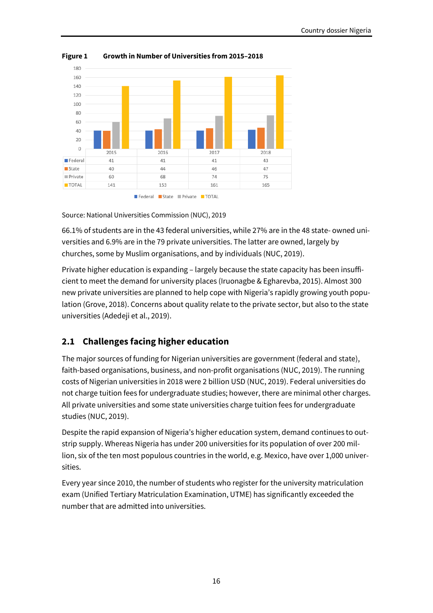

**Figure 1 Growth in Number of Universities from 2015–2018** 

Source: National Universities Commission (NUC), 2019

66.1% of students are in the 43 federal universities, while 27% are in the 48 state- owned universities and 6.9% are in the 79 private universities. The latter are owned, largely by churches, some by Muslim organisations, and by individuals (NUC, 2019).

Private higher education is expanding – largely because the state capacity has been insufficient to meet the demand for university places (Iruonagbe & Egharevba, 2015). Almost 300 new private universities are planned to help cope with Nigeria's rapidly growing youth population (Grove, 2018). Concerns about quality relate to the private sector, but also to the state universities (Adedeji et al., 2019).

## **2.1 Challenges facing higher education**

The major sources of funding for Nigerian universities are government (federal and state), faith-based organisations, business, and non-profit organisations (NUC, 2019). The running costs of Nigerian universities in 2018 were 2 billion USD (NUC, 2019). Federal universities do not charge tuition fees for undergraduate studies; however, there are minimal other charges. All private universities and some state universities charge tuition fees for undergraduate studies (NUC, 2019).

Despite the rapid expansion of Nigeria's higher education system, demand continues to outstrip supply. Whereas Nigeria has under 200 universities for its population of over 200 million, six of the ten most populous countries in the world, e.g. Mexico, have over 1,000 universities.

Every year since 2010, the number of students who register for the university matriculation exam (Unified Tertiary Matriculation Examination, UTME) has significantly exceeded the number that are admitted into universities.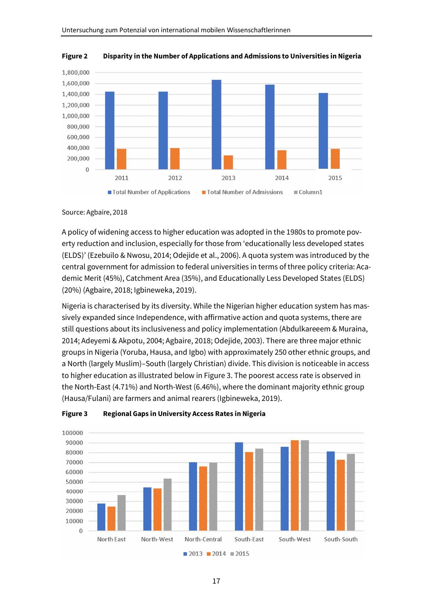

**Figure 2 Disparity in the Number of Applications and Admissions to Universities in Nigeria** 

#### Source: Agbaire, 2018

A policy of widening access to higher education was adopted in the 1980s to promote poverty reduction and inclusion, especially for those from 'educationally less developed states (ELDS)' (Ezebuilo & Nwosu, 2014; Odejide et al., 2006). A quota system was introduced by the central government for admission to federal universities in terms of three policy criteria: Academic Merit (45%), Catchment Area (35%), and Educationally Less Developed States (ELDS) (20%) (Agbaire, 2018; Igbineweka, 2019).

Nigeria is characterised by its diversity. While the Nigerian higher education system has massively expanded since Independence, with affirmative action and quota systems, there are still questions about its inclusiveness and policy implementation (Abdulkareeem & Muraina, 2014; Adeyemi & Akpotu, 2004; Agbaire, 2018; Odejide, 2003). There are three major ethnic groups in Nigeria (Yoruba, Hausa, and Igbo) with approximately 250 other ethnic groups, and a North (largely Muslim)–South (largely Christian) divide. This division is noticeable in access to higher education as illustrated below in Figure 3. The poorest access rate is observed in the North-East (4.71%) and North-West (6.46%), where the dominant majority ethnic group (Hausa/Fulani) are farmers and animal rearers (Igbineweka, 2019).



#### **Figure 3 Regional Gaps in University Access Rates in Nigeria**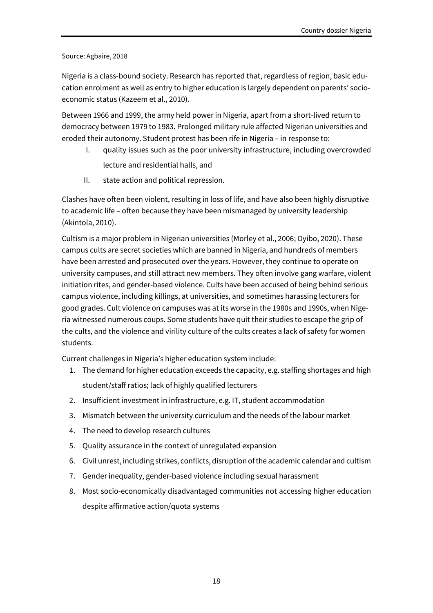#### Source: Agbaire, 2018

Nigeria is a class-bound society. Research has reported that, regardless of region, basic education enrolment as well as entry to higher education is largely dependent on parents' socioeconomic status (Kazeem et al., 2010).

Between 1966 and 1999, the army held power in Nigeria, apart from a short-lived return to democracy between 1979 to 1983. Prolonged military rule affected Nigerian universities and eroded their autonomy. Student protest has been rife in Nigeria – in response to:

- I. quality issues such as the poor university infrastructure, including overcrowded lecture and residential halls, and
- II. state action and political repression.

Clashes have often been violent, resulting in loss of life, and have also been highly disruptive to academic life – often because they have been mismanaged by university leadership (Akintola, 2010).

Cultism is a major problem in Nigerian universities (Morley et al., 2006; Oyibo, 2020). These campus cults are secret societies which are banned in Nigeria, and hundreds of members have been arrested and prosecuted over the years. However, they continue to operate on university campuses, and still attract new members. They often involve gang warfare, violent initiation rites, and gender-based violence. Cults have been accused of being behind serious campus violence, including killings, at universities, and sometimes harassing lecturers for good grades. Cult violence on campuses was at its worse in the 1980s and 1990s, when Nigeria witnessed numerous coups. Some students have quit their studies to escape the grip of the cults, and the violence and virility culture of the cults creates a lack of safety for women students.

Current challenges in Nigeria's higher education system include:

- 1. The demand for higher education exceeds the capacity, e.g. staffing shortages and high student/staff ratios; lack of highly qualified lecturers
- 2. Insufficient investment in infrastructure, e.g. IT, student accommodation
- 3. Mismatch between the university curriculum and the needs of the labour market
- 4. The need to develop research cultures
- 5. Quality assurance in the context of unregulated expansion
- 6. Civil unrest, including strikes, conflicts, disruption of the academic calendar and cultism
- 7. Gender inequality, gender-based violence including sexual harassment
- 8. Most socio-economically disadvantaged communities not accessing higher education despite affirmative action/quota systems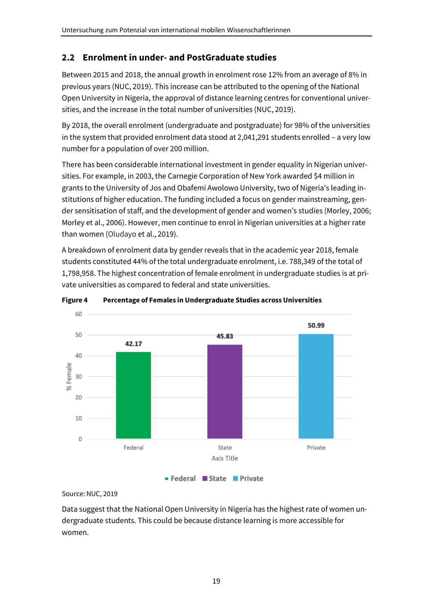## **2.2 Enrolment in under- and PostGraduate studies**

Between 2015 and 2018, the annual growth in enrolment rose 12% from an average of 8% in previous years (NUC, 2019). This increase can be attributed to the opening of the National Open University in Nigeria, the approval of distance learning centres for conventional universities, and the increase in the total number of universities (NUC, 2019).

By 2018, the overall enrolment (undergraduate and postgraduate) for 98% of the universities in the system that provided enrolment data stood at 2,041,291 students enrolled – a very low number for a population of over 200 million.

There has been considerable international investment in gender equality in Nigerian universities. For example, in 2003, the Carnegie Corporation of New York awarded \$4 million in grants to the University of Jos and Obafemi Awolowo University, two of Nigeria's leading institutions of higher education. The funding included a focus on gender mainstreaming, gender sensitisation of staff, and the development of gender and women's studies (Morley, 2006; Morley et al., 2006). However, men continue to enrol in Nigerian universities at a higher rate than women (Oludayo et al., 2019).

A breakdown of enrolment data by gender reveals that in the academic year 2018, female students constituted 44% of the total undergraduate enrolment, i.e. 788,349 of the total of 1,798,958. The highest concentration of female enrolment in undergraduate studies is at private universities as compared to federal and state universities.



**Figure 4 Percentage of Females in Undergraduate Studies across Universities** 

Source: NUC, 2019

Data suggest that the National Open University in Nigeria has the highest rate of women undergraduate students. This could be because distance learning is more accessible for women.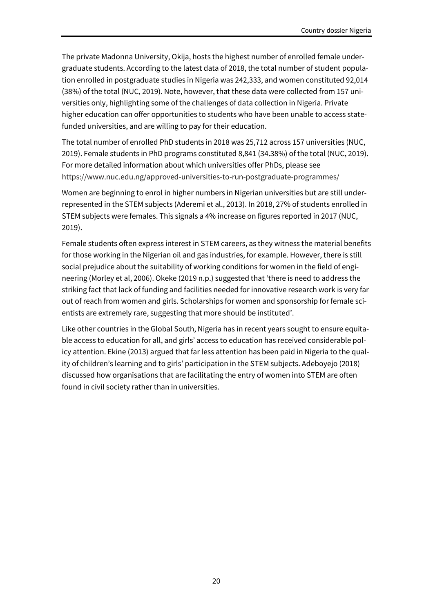The private Madonna University, Okija, hosts the highest number of enrolled female undergraduate students. According to the latest data of 2018, the total number of student population enrolled in postgraduate studies in Nigeria was 242,333, and women constituted 92,014 (38%) of the total (NUC, 2019). Note, however, that these data were collected from 157 universities only, highlighting some of the challenges of data collection in Nigeria. Private higher education can offer opportunities to students who have been unable to access statefunded universities, and are willing to pay for their education.

The total number of enrolled PhD students in 2018 was 25,712 across 157 universities (NUC, 2019). Female students in PhD programs constituted 8,841 (34.38%) of the total (NUC, 2019). For more detailed information about which universities offer PhDs, please see https://www.nuc.edu.ng/approved-universities-to-run-postgraduate-programmes/

Women are beginning to enrol in higher numbers in Nigerian universities but are still underrepresented in the STEM subjects (Aderemi et al., 2013). In 2018, 27% of students enrolled in STEM subjects were females. This signals a 4% increase on figures reported in 2017 (NUC, 2019).

Female students often express interest in STEM careers, as they witness the material benefits for those working in the Nigerian oil and gas industries, for example. However, there is still social prejudice about the suitability of working conditions for women in the field of engineering (Morley et al, 2006). Okeke (2019 n.p.) suggested that 'there is need to address the striking fact that lack of funding and facilities needed for innovative research work is very far out of reach from women and girls. Scholarships for women and sponsorship for female scientists are extremely rare, suggesting that more should be instituted'.

Like other countries in the Global South, Nigeria has in recent years sought to ensure equitable access to education for all, and girls' access to education has received considerable policy attention. Ekine (2013) argued that far less attention has been paid in Nigeria to the quality of children's learning and to girls' participation in the STEM subjects. Adeboyejo (2018) discussed how organisations that are facilitating the entry of women into STEM are often found in civil society rather than in universities.

20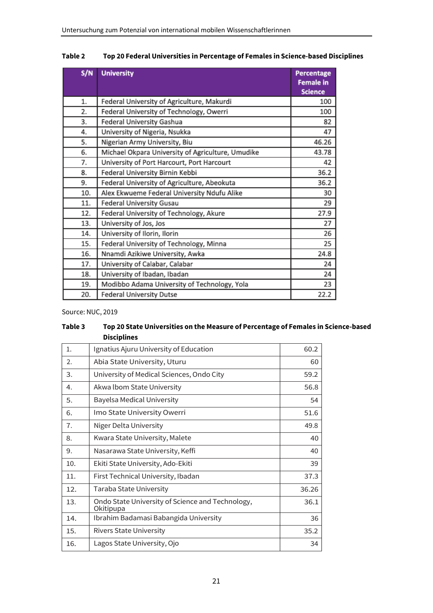| S/N | <b>University</b>                                 | <b>Percentage</b><br><b>Female in</b><br><b>Science</b> |
|-----|---------------------------------------------------|---------------------------------------------------------|
| 1.  | Federal University of Agriculture, Makurdi        | 100                                                     |
| 2.  | Federal University of Technology, Owerri          | 100                                                     |
| 3.  | Federal University Gashua                         | 82                                                      |
| 4.  | University of Nigeria, Nsukka                     | 47                                                      |
| 5.  | Nigerian Army University, Biu                     | 46.26                                                   |
| 6.  | Michael Okpara University of Agriculture, Umudike | 43.78                                                   |
| 7.  | University of Port Harcourt, Port Harcourt        | 42                                                      |
| 8.  | Federal University Birnin Kebbi                   | 36.2                                                    |
| 9.  | Federal University of Agriculture, Abeokuta       | 36.2                                                    |
| 10. | Alex Ekwueme Federal University Ndufu Alike       | 30                                                      |
| 11. | Federal University Gusau                          | 29                                                      |
| 12. | Federal University of Technology, Akure           | 27.9                                                    |
| 13. | University of Jos, Jos                            | 27                                                      |
| 14. | University of Ilorin, Ilorin                      | 26                                                      |
| 15. | Federal University of Technology, Minna           | 25                                                      |
| 16. | Nnamdi Azikiwe University, Awka                   | 24.8                                                    |
| 17. | University of Calabar, Calabar                    | 24                                                      |
| 18. | University of Ibadan, Ibadan                      | 24                                                      |
| 19. | Modibbo Adama University of Technology, Yola      | 23                                                      |
| 20. | <b>Federal University Dutse</b>                   | 22.2                                                    |

#### **Table 2 Top 20 Federal Universities in Percentage of Females in Science-based Disciplines**

Source: NUC, 2019

#### **Table 3 Top 20 State Universities on the Measure of Percentage of Females in Science-based Disciplines**

| 1.  | Ignatius Ajuru University of Education                        | 60.2  |
|-----|---------------------------------------------------------------|-------|
| 2.  | Abia State University, Uturu                                  | 60    |
| 3.  | University of Medical Sciences, Ondo City                     | 59.2  |
| 4.  | Akwa Ibom State University                                    | 56.8  |
| 5.  | <b>Bayelsa Medical University</b>                             | 54    |
| 6.  | Imo State University Owerri                                   | 51.6  |
| 7.  | Niger Delta University                                        | 49.8  |
| 8.  | Kwara State University, Malete                                | 40    |
| 9.  | Nasarawa State University, Keffi                              | 40    |
| 10. | Ekiti State University, Ado-Ekiti                             | 39    |
| 11. | First Technical University, Ibadan                            | 37.3  |
| 12. | Taraba State University                                       | 36.26 |
| 13. | Ondo State University of Science and Technology,<br>Okitipupa | 36.1  |
| 14. | Ibrahim Badamasi Babangida University                         | 36    |
| 15. | <b>Rivers State University</b>                                | 35.2  |
| 16. | Lagos State University, Ojo                                   | 34    |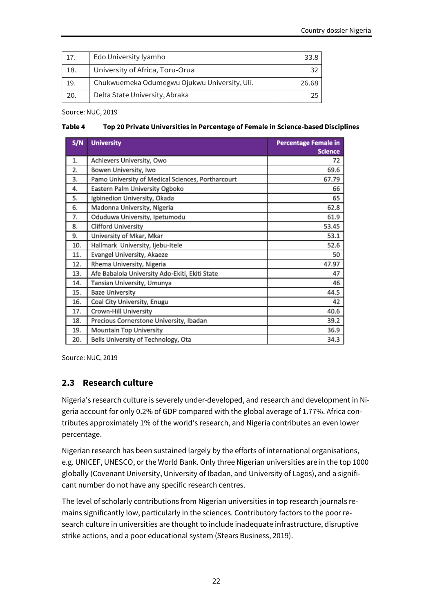| 17. | Edo University lyamho                        | 33 R  |
|-----|----------------------------------------------|-------|
| 18. | University of Africa, Toru-Orua              |       |
| 19. | Chukwuemeka Odumegwu Ojukwu University, Uli. | 26.68 |
| 20. | Delta State University, Abraka               |       |

Source: NUC, 2019

#### **Table 4 Top 20 Private Universities in Percentage of Female in Science-based Disciplines**

| S/N | <b>University</b>                                 | <b>Percentage Female in</b><br><b>Science</b> |
|-----|---------------------------------------------------|-----------------------------------------------|
| 1.  | Achievers University, Owo                         | 72                                            |
| 2.  | Bowen University, Iwo                             | 69.6                                          |
| 3.  | Pamo University of Medical Sciences, Portharcourt | 67.79                                         |
| 4.  | Eastern Palm University Ogboko                    | 66                                            |
| 5.  | Igbinedion University, Okada                      | 65                                            |
| 6.  | Madonna University, Nigeria                       | 62.8                                          |
| 7.  | Oduduwa University, Ipetumodu                     | 61.9                                          |
| 8.  | <b>Clifford University</b>                        | 53.45                                         |
| 9.  | University of Mkar, Mkar                          | 53.1                                          |
| 10. | Hallmark University, Ijebu-Itele                  | 52.6                                          |
| 11. | Evangel University, Akaeze                        | 50                                            |
| 12. | Rhema University, Nigeria                         | 47.97                                         |
| 13. | Afe Babalola University Ado-Ekiti, Ekiti State    | 47                                            |
| 14. | Tansian University, Umunya                        | 46                                            |
| 15. | <b>Baze University</b>                            | 44.5                                          |
| 16. | Coal City University, Enugu                       | 42                                            |
| 17. | Crown-Hill University                             | 40.6                                          |
| 18. | Precious Cornerstone University, Ibadan           | 39.2                                          |
| 19. | Mountain Top University                           | 36.9                                          |
| 20. | Bells University of Technology, Ota               | 34.3                                          |

Source: NUC, 2019

#### **2.3 Research culture**

Nigeria's research culture is severely under-developed, and research and development in Nigeria account for only 0.2% of GDP compared with the global average of 1.77%. Africa contributes approximately 1% of the world's research, and Nigeria contributes an even lower percentage.

Nigerian research has been sustained largely by the efforts of international organisations, e.g. UNICEF, UNESCO, or the World Bank. Only three Nigerian universities are in the top 1000 globally (Covenant University, University of Ibadan, and University of Lagos), and a significant number do not have any specific research centres.

The level of scholarly contributions from Nigerian universities in top research journals remains significantly low, particularly in the sciences. Contributory factors to the poor research culture in universities are thought to include inadequate infrastructure, disruptive strike actions, and a poor educational system (Stears Business, 2019).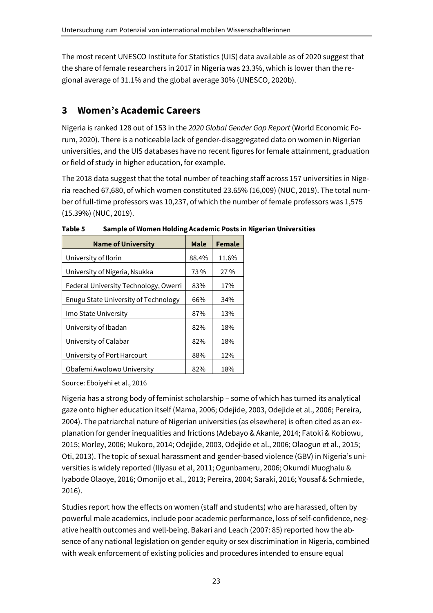The most recent UNESCO Institute for Statistics (UIS) data available as of 2020 suggest that the share of female researchers in 2017 in Nigeria was 23.3%, which is lower than the regional average of 31.1% and the global average 30% (UNESCO, 2020b).

## **3 Women's Academic Careers**

Nigeria is ranked 128 out of 153 in the *2020 Global Gender Gap Report* (World Economic Forum, 2020). There is a noticeable lack of gender-disaggregated data on women in Nigerian universities, and the UIS databases have no recent figures for female attainment, graduation or field of study in higher education, for example.

The 2018 data suggest that the total number of teaching staff across 157 universities in Nigeria reached 67,680, of which women constituted 23.65% (16,009) (NUC, 2019). The total number of full-time professors was 10,237, of which the number of female professors was 1,575 (15.39%) (NUC, 2019).

| <b>Name of University</b>             | <b>Male</b> | <b>Female</b> |
|---------------------------------------|-------------|---------------|
| University of Ilorin                  | 88.4%       | 11.6%         |
| University of Nigeria, Nsukka         | 73%         | 27 %          |
| Federal University Technology, Owerri | 83%         | 17%           |
| Enugu State University of Technology  | 66%         | 34%           |
| Imo State University                  | 87%         | 13%           |
| University of Ibadan                  | 82%         | 18%           |
| University of Calabar                 | 82%         | 18%           |
| University of Port Harcourt           | 88%         | 12%           |
| Obafemi Awolowo University            | 82%         | 18%           |

**Table 5 Sample of Women Holding Academic Posts in Nigerian Universities** 

Source: Eboiyehi et al., 2016

Nigeria has a strong body of feminist scholarship – some of which has turned its analytical gaze onto higher education itself (Mama, 2006; Odejide, 2003, Odejide et al., 2006; Pereira, 2004). The patriarchal nature of Nigerian universities (as elsewhere) is often cited as an explanation for gender inequalities and frictions (Adebayo & Akanle, 2014; Fatoki & Kobiowu, 2015; Morley, 2006; Mukoro, 2014; Odejide, 2003, Odejide et al., 2006; Olaogun et al., 2015; Oti, 2013). The topic of sexual harassment and gender-based violence (GBV) in Nigeria's universities is widely reported (Iliyasu et al, 2011; Ogunbameru, 2006; Okumdi Muoghalu & Iyabode Olaoye, 2016; Omonijo et al., 2013; Pereira, 2004; Saraki, 2016; Yousaf & Schmiede, 2016).

Studies report how the effects on women (staff and students) who are harassed, often by powerful male academics, include poor academic performance, loss of self-confidence, negative health outcomes and well-being. Bakari and Leach (2007: 85) reported how the absence of any national legislation on gender equity or sex discrimination in Nigeria, combined with weak enforcement of existing policies and procedures intended to ensure equal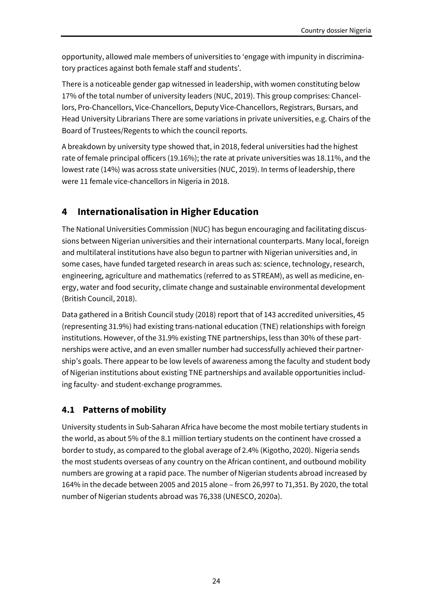opportunity, allowed male members of universities to 'engage with impunity in discriminatory practices against both female staff and students'.

There is a noticeable gender gap witnessed in leadership, with women constituting below 17% of the total number of university leaders (NUC, 2019). This group comprises: Chancellors, Pro-Chancellors, Vice-Chancellors, Deputy Vice-Chancellors, Registrars, Bursars, and Head University Librarians There are some variations in private universities, e.g. Chairs of the Board of Trustees/Regents to which the council reports.

A breakdown by university type showed that, in 2018, federal universities had the highest rate of female principal officers (19.16%); the rate at private universities was 18.11%, and the lowest rate (14%) was across state universities (NUC, 2019). In terms of leadership, there were 11 female vice-chancellors in Nigeria in 2018.

## **4 Internationalisation in Higher Education**

The National Universities Commission (NUC) has begun encouraging and facilitating discussions between Nigerian universities and their international counterparts. Many local, foreign and multilateral institutions have also begun to partner with Nigerian universities and, in some cases, have funded targeted research in areas such as: science, technology, research, engineering, agriculture and mathematics (referred to as STREAM), as well as medicine, energy, water and food security, climate change and sustainable environmental development (British Council, 2018).

Data gathered in a British Council study (2018) report that of 143 accredited universities, 45 (representing 31.9%) had existing trans-national education (TNE) relationships with foreign institutions. However, of the 31.9% existing TNE partnerships, less than 30% of these partnerships were active, and an even smaller number had successfully achieved their partnership's goals. There appear to be low levels of awareness among the faculty and student body of Nigerian institutions about existing TNE partnerships and available opportunities including faculty- and student-exchange programmes.

#### **4.1 Patterns of mobility**

University students in Sub-Saharan Africa have become the most mobile tertiary students in the world, as about 5% of the 8.1 million tertiary students on the continent have crossed a border to study, as compared to the global average of 2.4% (Kigotho, 2020). Nigeria sends the most students overseas of any country on the African continent, and outbound mobility numbers are growing at a rapid pace. The number of Nigerian students abroad increased by 164% in the decade between 2005 and 2015 alone – from 26,997 to 71,351. By 2020, the total number of Nigerian students abroad was 76,338 (UNESCO, 2020a).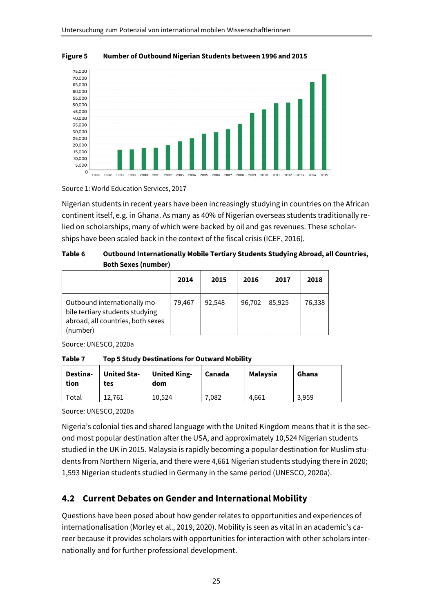

**Figure 5 Number of Outbound Nigerian Students between 1996 and 2015** 

Source 1: World Education Services, 2017

Nigerian students in recent years have been increasingly studying in countries on the African continent itself, e.g. in Ghana. As many as 40% of Nigerian overseas students traditionally relied on scholarships, many of which were backed by oil and gas revenues. These scholarships have been scaled back in the context of the fiscal crisis (ICEF, 2016).

| Table 6 | Outbound Internationally Mobile Tertiary Students Studying Abroad, all Countries, |
|---------|-----------------------------------------------------------------------------------|
|         | <b>Both Sexes (number)</b>                                                        |

|                                                                                                                  | 2014   | 2015   | 2016   | 2017   | 2018   |
|------------------------------------------------------------------------------------------------------------------|--------|--------|--------|--------|--------|
| Outbound internationally mo-<br>bile tertiary students studying<br>abroad, all countries, both sexes<br>(number) | 79,467 | 92,548 | 96,702 | 85,925 | 76,338 |

Source: UNESCO, 2020a

**Table 7 Top 5 Study Destinations for Outward Mobility** 

| tion | Destina- | <b>United Sta-</b><br>tes | <b>United King-</b><br>dom | Canada | <b>Malaysia</b> | Ghana |
|------|----------|---------------------------|----------------------------|--------|-----------------|-------|
|      | Total    | 12.761                    | 10.524                     | 7,082  | 4.661           | 3,959 |

Source: UNESCO, 2020a

Nigeria's colonial ties and shared language with the United Kingdom means that it is the second most popular destination after the USA, and approximately 10,524 Nigerian students studied in the UK in 2015. Malaysia is rapidly becoming a popular destination for Muslim students from Northern Nigeria, and there were 4,661 Nigerian students studying there in 2020; 1,593 Nigerian students studied in Germany in the same period (UNESCO, 2020a).

#### **4.2 Current Debates on Gender and International Mobility**

Questions have been posed about how gender relates to opportunities and experiences of internationalisation (Morley et al., 2019, 2020). Mobility is seen as vital in an academic's career because it provides scholars with opportunities for interaction with other scholars internationally and for further professional development.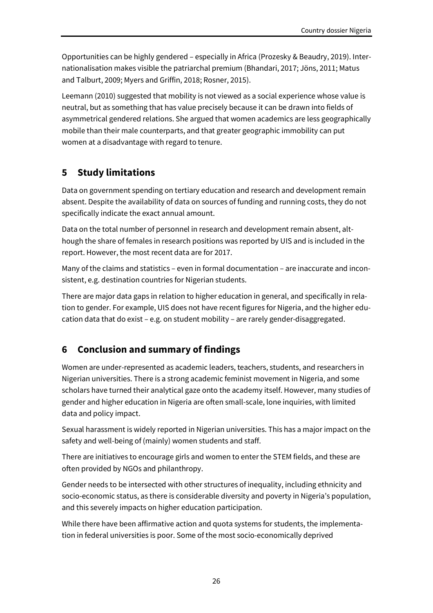Opportunities can be highly gendered – especially in Africa (Prozesky & Beaudry, 2019). Internationalisation makes visible the patriarchal premium (Bhandari, 2017; Jöns, 2011; Matus and Talburt, 2009; Myers and Griffin, 2018; Rosner, 2015).

Leemann (2010) suggested that mobility is not viewed as a social experience whose value is neutral, but as something that has value precisely because it can be drawn into fields of asymmetrical gendered relations. She argued that women academics are less geographically mobile than their male counterparts, and that greater geographic immobility can put women at a disadvantage with regard to tenure.

## **5 Study limitations**

Data on government spending on tertiary education and research and development remain absent. Despite the availability of data on sources of funding and running costs, they do not specifically indicate the exact annual amount.

Data on the total number of personnel in research and development remain absent, although the share of females in research positions was reported by UIS and is included in the report. However, the most recent data are for 2017.

Many of the claims and statistics – even in formal documentation – are inaccurate and inconsistent, e.g. destination countries for Nigerian students.

There are major data gaps in relation to higher education in general, and specifically in relation to gender. For example, UIS does not have recent figures for Nigeria, and the higher education data that do exist – e.g. on student mobility – are rarely gender-disaggregated.

## **6 Conclusion and summary of findings**

Women are under-represented as academic leaders, teachers, students, and researchers in Nigerian universities. There is a strong academic feminist movement in Nigeria, and some scholars have turned their analytical gaze onto the academy itself. However, many studies of gender and higher education in Nigeria are often small-scale, lone inquiries, with limited data and policy impact.

Sexual harassment is widely reported in Nigerian universities. This has a major impact on the safety and well-being of (mainly) women students and staff.

There are initiatives to encourage girls and women to enter the STEM fields, and these are often provided by NGOs and philanthropy.

Gender needs to be intersected with other structures of inequality, including ethnicity and socio-economic status, as there is considerable diversity and poverty in Nigeria's population, and this severely impacts on higher education participation.

While there have been affirmative action and quota systems for students, the implementation in federal universities is poor. Some of the most socio-economically deprived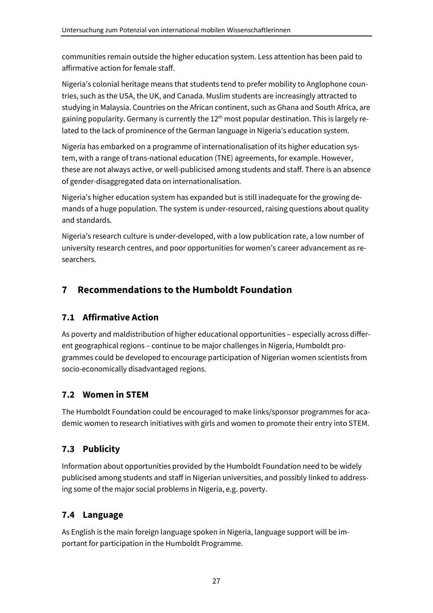communities remain outside the higher education system. Less attention has been paid to affirmative action for female staff.

Nigeria's colonial heritage means that students tend to prefer mobility to Anglophone countries, such as the USA, the UK, and Canada. Muslim students are increasingly attracted to studying in Malaysia. Countries on the African continent, such as Ghana and South Africa, are gaining popularity. Germany is currently the  $12<sup>th</sup>$  most popular destination. This is largely related to the lack of prominence of the German language in Nigeria's education system.

Nigeria has embarked on a programme of internationalisation of its higher education system, with a range of trans-national education (TNE) agreements, for example. However, these are not always active, or well-publicised among students and staff. There is an absence of gender-disaggregated data on internationalisation.

Nigeria's higher education system has expanded but is still inadequate for the growing demands of a huge population. The system is under-resourced, raising questions about quality and standards.

Nigeria's research culture is under-developed, with a low publication rate, a low number of university research centres, and poor opportunities for women's career advancement as researchers.

## **7 Recommendations to the Humboldt Foundation**

#### **7.1 Affirmative Action**

As poverty and maldistribution of higher educational opportunities – especially across different geographical regions – continue to be major challenges in Nigeria, Humboldt programmes could be developed to encourage participation of Nigerian women scientists from socio-economically disadvantaged regions.

## **7.2 Women in STEM**

The Humboldt Foundation could be encouraged to make links/sponsor programmes for academic women to research initiatives with girls and women to promote their entry into STEM.

## **7.3 Publicity**

Information about opportunities provided by the Humboldt Foundation need to be widely publicised among students and staff in Nigerian universities, and possibly linked to addressing some of the major social problems in Nigeria, e.g. poverty.

## **7.4 Language**

As English is the main foreign language spoken in Nigeria, language support will be important for participation in the Humboldt Programme.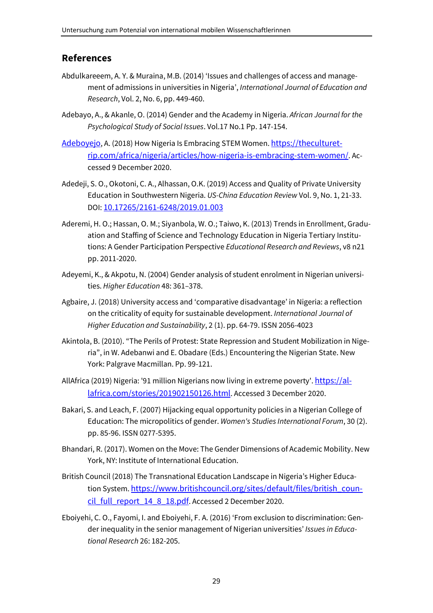#### **References**

- Abdulkareeem, A. Y. & Muraina, M.B. (2014) 'Issues and challenges of access and management of admissions in universities in Nigeria', *International Journal of Education and Research*, Vol. 2, No. 6, pp. 449-460.
- Adebayo, A., & Akanle, O. (2014) Gender and the Academy in Nigeria. *African Journal for the Psychological Study of Social Issues*. Vol.17 No.1 Pp. 147-154.
- Adeboyejo, A. (2018) How Nigeria Is Embracing STEM Women. https://theculturetrip.com/africa/nigeria/articles/how-nigeria-is-embracing-stem-women/. Accessed 9 December 2020.
- Adedeji, S. O., Okotoni, C. A., Alhassan, O.K. (2019) Access and Quality of Private University Education in Southwestern Nigeria. *US-China Education Review* Vol. 9, No. 1, 21-33. DOI: 10.17265/2161-6248/2019.01.003
- Aderemi, H. O.; Hassan, O. M.; Siyanbola, W. O.; Taiwo, K. (2013) Trends in Enrollment, Graduation and Staffing of Science and Technology Education in Nigeria Tertiary Institutions: A Gender Participation Perspective *Educational Research and Reviews*, v8 n21 pp. 2011-2020.
- Adeyemi, K., & Akpotu, N. (2004) Gender analysis of student enrolment in Nigerian universities. *Higher Education* 48: 361–378.
- Agbaire, J. (2018) University access and 'comparative disadvantage' in Nigeria: a reflection on the criticality of equity for sustainable development. *International Journal of Higher Education and Sustainability*, 2 (1). pp. 64-79. ISSN 2056-4023
- Akintola, B. (2010). "The Perils of Protest: State Repression and Student Mobilization in Nigeria", in W. Adebanwi and E. Obadare (Eds.) Encountering the Nigerian State. New York: Palgrave Macmillan. Pp. 99-121.
- AllAfrica (2019) Nigeria: '91 million Nigerians now living in extreme poverty'. https://allafrica.com/stories/201902150126.html. Accessed 3 December 2020.
- Bakari, S. and Leach, F. (2007) Hijacking equal opportunity policies in a Nigerian College of Education: The micropolitics of gender. *Women's Studies International Forum*, 30 (2). pp. 85-96. ISSN 0277-5395.
- Bhandari, R. (2017). Women on the Move: The Gender Dimensions of Academic Mobility. New York, NY: Institute of International Education.
- British Council (2018) The Transnational Education Landscape in Nigeria's Higher Education System. https://www.britishcouncil.org/sites/default/files/british\_council\_full\_report\_14\_8\_18.pdf. Accessed 2 December 2020.
- Eboiyehi, C. O., Fayomi, I. and Eboiyehi, F. A. (2016) 'From exclusion to discrimination: Gender inequality in the senior management of Nigerian universities' *Issues in Educational Research* 26: 182-205.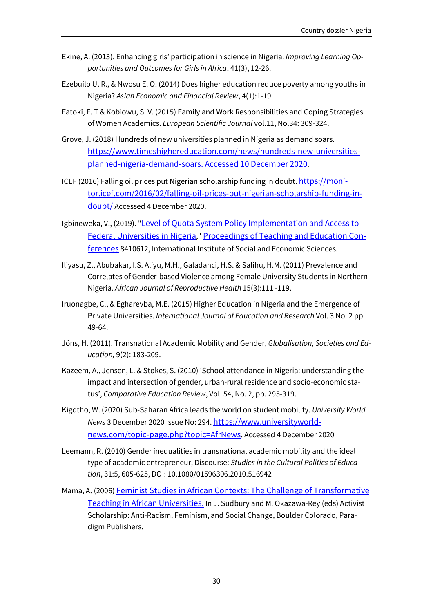- Ekine, A. (2013). Enhancing girls' participation in science in Nigeria. *Improving Learning Opportunities and Outcomes for Girls in Africa*, 41(3), 12-26.
- Ezebuilo U. R., & Nwosu E. O. (2014) Does higher education reduce poverty among youths in Nigeria? *Asian Economic and Financial Review*, 4(1):1-19.
- Fatoki, F. T & Kobiowu, S. V. (2015) Family and Work Responsibilities and Coping Strategies of Women Academics. *European Scientific Journal* vol.11, No.34: 309-324.
- Grove, J. (2018) Hundreds of new universities planned in Nigeria as demand soars. https://www.timeshighereducation.com/news/hundreds-new-universitiesplanned-nigeria-demand-soars. Accessed 10 December 2020.
- ICEF (2016) Falling oil prices put Nigerian scholarship funding in doubt. https://monitor.icef.com/2016/02/falling-oil-prices-put-nigerian-scholarship-funding-indoubt/ Accessed 4 December 2020.
- Igbineweka, V., (2019). "Level of Quota System Policy Implementation and Access to Federal Universities in Nigeria," Proceedings of Teaching and Education Conferences 8410612, International Institute of Social and Economic Sciences.
- Iliyasu, Z., Abubakar, I.S. Aliyu, M.H., Galadanci, H.S. & Salihu, H.M. (2011) Prevalence and Correlates of Gender-based Violence among Female University Students in Northern Nigeria. *African Journal of Reproductive Health* 15(3):111 -119.
- Iruonagbe, C., & Egharevba, M.E. (2015) Higher Education in Nigeria and the Emergence of Private Universities. *International Journal of Education and Research* Vol. 3 No. 2 pp. 49-64.
- Jöns, H. (2011). Transnational Academic Mobility and Gender, *Globalisation, Societies and Education,* 9(2): 183-209.
- Kazeem, A., Jensen, L. & Stokes, S. (2010) 'School attendance in Nigeria: understanding the impact and intersection of gender, urban-rural residence and socio-economic status', *Comparative Education Review*, Vol. 54, No. 2, pp. 295-319.
- Kigotho, W. (2020) Sub-Saharan Africa leads the world on student mobility. *University World News* 3 December 2020 Issue No: 294. https://www.universityworldnews.com/topic-page.php?topic=AfrNews. Accessed 4 December 2020
- Leemann, R. (2010) Gender inequalities in transnational academic mobility and the ideal type of academic entrepreneur, Discourse: *Studies in the Cultural Politics of Education*, 31:5, 605-625, DOI: 10.1080/01596306.2010.516942
- Mama, A. (2006) Feminist Studies in African Contexts: The Challenge of Transformative Teaching in African Universities. In J. Sudbury and M. Okazawa-Rey (eds) Activist Scholarship: Anti-Racism, Feminism, and Social Change, Boulder Colorado, Paradigm Publishers.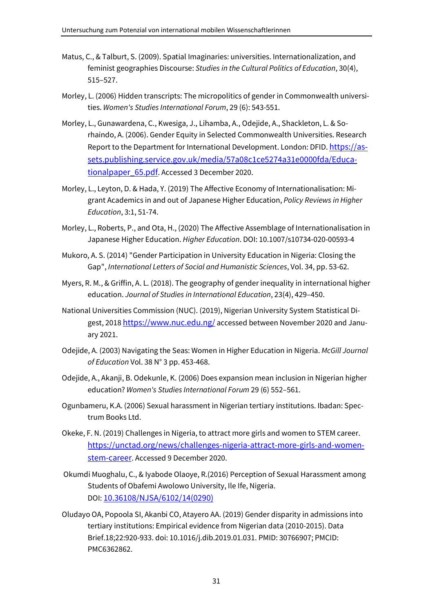- Matus, C., & Talburt, S. (2009). Spatial Imaginaries: universities. Internationalization, and feminist geographies Discourse: *Studies in the Cultural Politics of Education*, 30(4), 515–527.
- Morley, L. (2006) Hidden transcripts: The micropolitics of gender in Commonwealth universities. *Women's Studies International Forum*, 29 (6): 543-551.
- Morley, L., Gunawardena, C., Kwesiga, J., Lihamba, A., Odejide, A., Shackleton, L. & Sorhaindo, A. (2006). Gender Equity in Selected Commonwealth Universities. Research Report to the Department for International Development. London: DFID. https://assets.publishing.service.gov.uk/media/57a08c1ce5274a31e0000fda/Educationalpaper\_65.pdf. Accessed 3 December 2020.
- Morley, L., Leyton, D. & Hada, Y. (2019) The Affective Economy of Internationalisation: Migrant Academics in and out of Japanese Higher Education, *Policy Reviews in Higher Education*, 3:1, 51-74.
- Morley, L., Roberts, P., and Ota, H., (2020) The Affective Assemblage of Internationalisation in Japanese Higher Education. *Higher Education*. DOI: 10.1007/s10734-020-00593-4
- Mukoro, A. S. (2014) "Gender Participation in University Education in Nigeria: Closing the Gap", *International Letters of Social and Humanistic Sciences*, Vol. 34, pp. 53-62.
- Myers, R. M., & Griffin, A. L. (2018). The geography of gender inequality in international higher education. *Journal of Studies in International Education*, 23(4), 429–450.
- National Universities Commission (NUC). (2019), Nigerian University System Statistical Digest, 2018 https://www.nuc.edu.ng/ accessed between November 2020 and January 2021.
- Odejide, A. (2003) Navigating the Seas: Women in Higher Education in Nigeria. *McGill Journal of Education* Vol. 38 N° 3 pp. 453-468.
- Odejide, A., Akanji, B. Odekunle, K. (2006) Does expansion mean inclusion in Nigerian higher education? *Women's Studies International Forum* 29 (6) 552–561.
- Ogunbameru, K.A. (2006) Sexual harassment in Nigerian tertiary institutions. Ibadan: Spectrum Books Ltd.
- Okeke, F. N. (2019) Challenges in Nigeria, to attract more girls and women to STEM career. https://unctad.org/news/challenges-nigeria-attract-more-girls-and-womenstem-career. Accessed 9 December 2020.
- Okumdi Muoghalu, C., & Iyabode Olaoye, R.(2016) Perception of Sexual Harassment among Students of Obafemi Awolowo University, Ile Ife, Nigeria. DOI: 10.36108/NJSA/6102/14(0290)
- Oludayo OA, Popoola SI, Akanbi CO, Atayero AA. (2019) Gender disparity in admissions into tertiary institutions: Empirical evidence from Nigerian data (2010-2015). Data Brief.18;22:920-933. doi: 10.1016/j.dib.2019.01.031. PMID: 30766907; PMCID: PMC6362862.